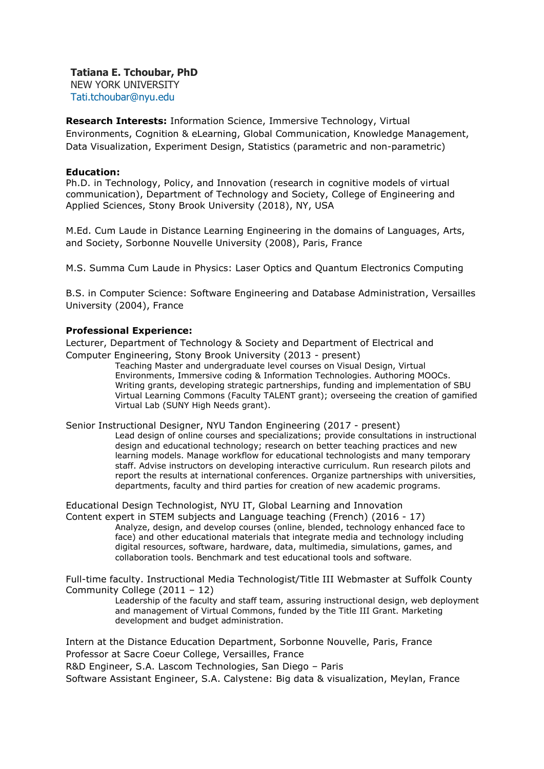# **Tatiana E. Tchoubar, PhD**

NEW YORK UNIVERSITY [Tati.tchoubar@nyu.edu](mailto:Tati.tchoubar@nyu.edu)

**Research Interests:** Information Science, Immersive Technology, Virtual Environments, Cognition & eLearning, Global Communication, Knowledge Management, Data Visualization, Experiment Design, Statistics (parametric and non-parametric)

## **Education:**

Ph.D. in Technology, Policy, and Innovation (research in cognitive models of virtual communication), Department of Technology and Society, College of Engineering and Applied Sciences, Stony Brook University (2018), NY, USA

M.Ed. Cum Laude in Distance Learning Engineering in the domains of Languages, Arts, and Society, Sorbonne Nouvelle University (2008), Paris, France

M.S. Summa Cum Laude in Physics: Laser Optics and Quantum Electronics Computing

B.S. in Computer Science: Software Engineering and Database Administration, Versailles University (2004), France

# **Professional Experience:**

Lecturer, Department of Technology & Society and Department of Electrical and Computer Engineering, Stony Brook University (2013 - present)

Teaching Master and undergraduate level courses on Visual Design, Virtual Environments, Immersive coding & Information Technologies. Authoring MOOCs. Writing grants, developing strategic partnerships, funding and implementation of SBU Virtual Learning Commons (Faculty TALENT grant); overseeing the creation of gamified Virtual Lab (SUNY High Needs grant).

Senior Instructional Designer, NYU Tandon Engineering (2017 - present) Lead design of online courses and specializations; provide consultations in instructional design and educational technology; research on better teaching practices and new learning models. Manage workflow for educational technologists and many temporary staff. Advise instructors on developing interactive curriculum. Run research pilots and report the results at international conferences. Organize partnerships with universities, departments, faculty and third parties for creation of new academic programs.

Educational Design Technologist, NYU IT, Global Learning and Innovation Content expert in STEM subjects and Language teaching (French) (2016 - 17)

Analyze, design, and develop courses (online, blended, technology enhanced face to face) and other educational materials that integrate media and technology including digital resources, software, hardware, data, multimedia, simulations, games, and collaboration tools. Benchmark and test educational tools and software.

Full-time faculty. Instructional Media Technologist/Title III Webmaster at Suffolk County Community College (2011 – 12)

Leadership of the faculty and staff team, assuring instructional design, web deployment and management of Virtual Commons, funded by the Title III Grant. Marketing development and budget administration.

Intern at the Distance Education Department, Sorbonne Nouvelle, Paris, France Professor at Sacre Coeur College, Versailles, France R&D Engineer, S.A. Lascom Technologies, San Diego – Paris

Software Assistant Engineer, S.A. Calystene: Big data & visualization, Meylan, France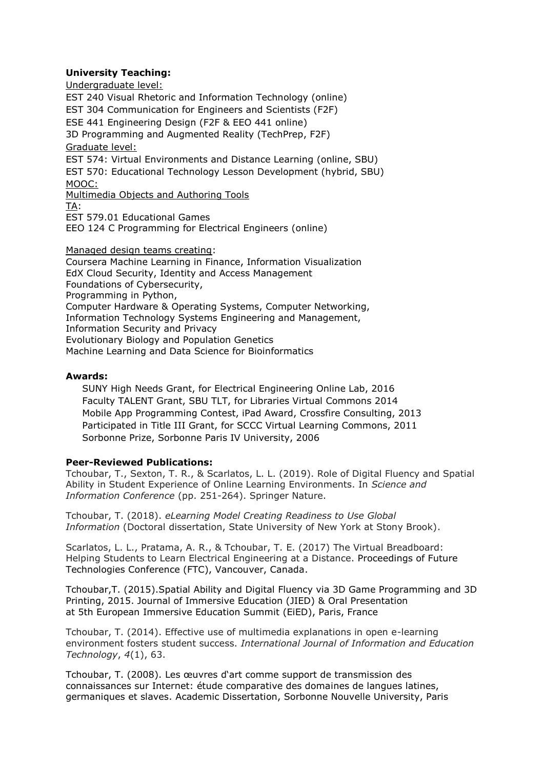# **University Teaching:**

Undergraduate level: EST 240 Visual Rhetoric and Information Technology (online) EST 304 Communication for Engineers and Scientists (F2F) ESE 441 Engineering Design (F2F & EEO 441 online) 3D Programming and Augmented Reality (TechPrep, F2F) Graduate level: EST 574: Virtual Environments and Distance Learning (online, SBU) EST 570: Educational Technology Lesson Development (hybrid, SBU) MOOC: Multimedia [Objects and Authoring Tools](https://www.coursesites.com/webapps/Bb-students-invitation-enrollment-BBLEARN/instructorInviteEnroll.htmlx?course_id=_261150_1) TA: EST 579.01 [Educational](https://blackboard.stonybrook.edu/webapps/blackboard/execute/launcher?type=Course&id=_954193_1&url=) Games EEO 124 [C Programming for Electrical Engineers](https://blackboard.stonybrook.edu/webapps/blackboard/execute/launcher?type=Course&id=_959143_1&url=) (online) Managed design teams creating: Coursera Machine Learning in Finance, Information Visualization

EdX Cloud Security, Identity and Access Management Foundations of Cybersecurity, Programming in Python, Computer Hardware & Operating Systems, Computer Networking, Information Technology Systems Engineering and Management, Information Security and Privacy Evolutionary Biology and Population Genetics Machine Learning and Data Science for Bioinformatics

## **Awards:**

SUNY High Needs Grant, for Electrical Engineering Online Lab, 2016 Faculty TALENT Grant, SBU TLT, for Libraries Virtual Commons 2014 Mobile App Programming Contest, iPad Award, Crossfire Consulting, 2013 Participated in Title III Grant, for SCCC Virtual Learning Commons, 2011 Sorbonne Prize, Sorbonne Paris IV University, 2006

## **Peer-Reviewed Publications:**

Tchoubar, T., Sexton, T. R., & Scarlatos, L. L. (2019). Role of Digital Fluency and Spatial Ability in Student Experience of Online Learning Environments. In *Science and Information Conference* (pp. 251-264). Springer Nature.

Tchoubar, T. (2018). *eLearning Model Creating Readiness to Use Global Information* (Doctoral dissertation, State University of New York at Stony Brook).

Scarlatos, L. L., Pratama, A. R., & Tchoubar, T. E. (2017) The Virtual Breadboard: Helping Students to Learn Electrical Engineering at a Distance. Proceedings of Future Technologies Conference (FTC), Vancouver, Canada.

Tchoubar,T. (2015).Spatial Ability and Digital Fluency via 3D Game Programming and 3D Printing, 2015. Journal of Immersive Education (JIED) & Oral Presentation at 5th European Immersive Education Summit (EiED), Paris, France

Tchoubar, T. (2014). Effective use of multimedia explanations in open e-learning environment fosters student success. *International Journal of Information and Education Technology*, *4*(1), 63.

Tchoubar, T. (2008). Les œuvres d'art comme support de transmission des connaissances sur Internet: étude comparative des domaines de langues latines, germaniques et slaves. Academic Dissertation, Sorbonne Nouvelle University, Paris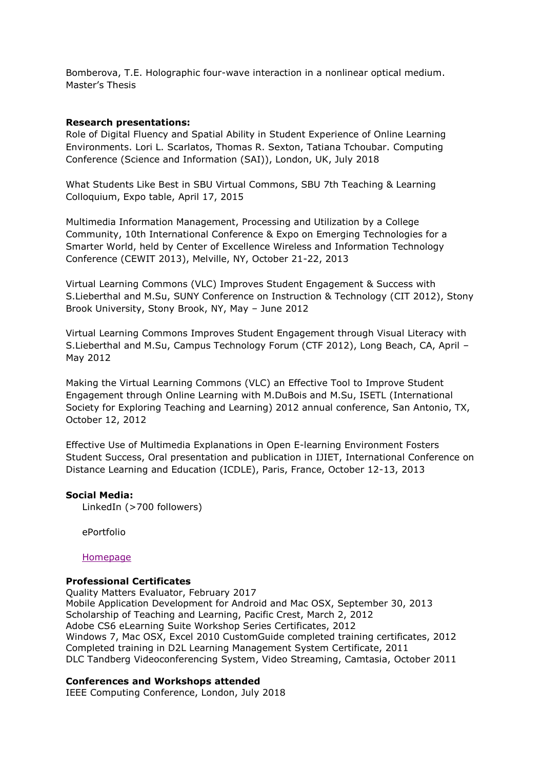Bomberova, T.E. Holographic four-wave interaction in a nonlinear optical medium. Master's Thesis

#### **Research presentations:**

Role of Digital Fluency and Spatial Ability in Student Experience of Online Learning Environments. Lori L. Scarlatos, Thomas R. Sexton, Tatiana Tchoubar. Computing Conference (Science and Information (SAI)), London, UK, July 2018

What Students Like Best in SBU Virtual Commons, SBU 7th Teaching & Learning Colloquium, Expo table, April 17, 2015

Multimedia Information Management, Processing and Utilization by a College Community, 10th International Conference & Expo on Emerging Technologies for a Smarter World, held by Center of Excellence Wireless and Information Technology Conference (CEWIT 2013), Melville, NY, October 21-22, 2013

Virtual Learning Commons (VLC) Improves Student Engagement & Success with S.Lieberthal and M.Su, SUNY Conference on Instruction & Technology (CIT 2012), Stony Brook University, Stony Brook, NY, May – June 2012

Virtual Learning Commons Improves Student Engagement through Visual Literacy with S.Lieberthal and M.Su, Campus Technology Forum (CTF 2012), Long Beach, CA, April – May 2012

[Making the Virtual Learning Commons \(VLC\) an Effective Tool to Improve Student](http://www.isetl.org/conference/presentation.cfm?pid=1475)  [Engagement through Online Learning](http://www.isetl.org/conference/presentation.cfm?pid=1475) with M.DuBois and M.Su, ISETL (International Society for Exploring Teaching and Learning) 2012 annual conference, San Antonio, TX, October 12, 2012

[Effective Use of Multimedia Explanations in Open E-learning Environment Fosters](http://www.etlibrary.org/?m=fbook&a=details&aid=14164)  [Student Success,](http://www.etlibrary.org/?m=fbook&a=details&aid=14164) Oral presentation and publication in IJIET, International Conference on Distance Learning and Education (ICDLE), Paris, France, October 12-13, 2013

#### **Social Media:**

LinkedIn [\(>700 followers\)](https://www.linkedin.com/in/tati-tchoubar-phd-bb6195b)

[ePortfolio](https://mahara02.tc.columbia.edu/user/tt2565/tati)

#### [Homepage](https://www.stonybrook.edu/commcms/est/people/adjunct_faculty/index.php)

#### **Professional Certificates**

Quality Matters Evaluator, February 2017 Mobile Application Development for Android and Mac OSX, September 30, 2013 Scholarship of Teaching and Learning, Pacific Crest, March 2, 2012 Adobe CS6 eLearning Suite Workshop Series Certificates, 2012 Windows 7, Mac OSX, Excel 2010 CustomGuide completed training certificates, 2012 Completed training in D2L Learning Management System Certificate, 2011 DLC Tandberg Videoconferencing System, Video Streaming, Camtasia, October 2011

#### **Conferences and Workshops attended**

IEEE Computing Conference, London, July 2018